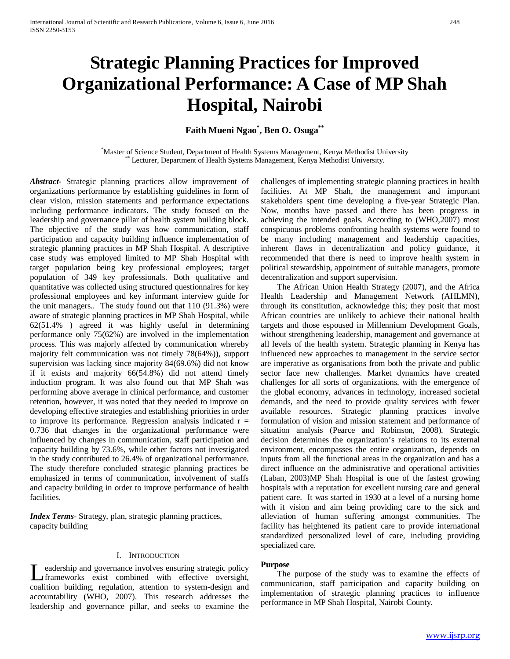# **Strategic Planning Practices for Improved Organizational Performance: A Case of MP Shah Hospital, Nairobi**

**Faith Mueni Ngao\* , Ben O. Osuga\*\***

\*Master of Science Student, Department of Health Systems Management, Kenya Methodist University \*\* Lecturer, Department of Health Systems Management, Kenya Methodist University.

*Abstract***-** Strategic planning practices allow improvement of organizations performance by establishing guidelines in form of clear vision, mission statements and performance expectations including performance indicators. The study focused on the leadership and governance pillar of health system building block. The objective of the study was how communication, staff participation and capacity building influence implementation of strategic planning practices in MP Shah Hospital. A descriptive case study was employed limited to MP Shah Hospital with target population being key professional employees; target population of 349 key professionals. Both qualitative and quantitative was collected using structured questionnaires for key professional employees and key informant interview guide for the unit managers.. The study found out that 110 (91.3%) were aware of strategic planning practices in MP Shah Hospital, while 62(51.4% ) agreed it was highly useful in determining performance only 75(62%) are involved in the implementation process. This was majorly affected by communication whereby majority felt communication was not timely 78(64%)), support supervision was lacking since majority 84(69.6%) did not know if it exists and majority 66(54.8%) did not attend timely induction program. It was also found out that MP Shah was performing above average in clinical performance, and customer retention, however, it was noted that they needed to improve on developing effective strategies and establishing priorities in order to improve its performance. Regression analysis indicated  $r =$ 0.736 that changes in the organizational performance were influenced by changes in communication, staff participation and capacity building by 73.6%, while other factors not investigated in the study contributed to 26.4% of organizational performance. The study therefore concluded strategic planning practices be emphasized in terms of communication, involvement of staffs and capacity building in order to improve performance of health facilities.

*Index Terms*- Strategy, plan, strategic planning practices, capacity building

#### I. INTRODUCTION

eadership and governance involves ensuring strategic policy frameworks exist combined with effective oversight, Let the parameter involves ensuring strategic policy<br>
frameworks exist combined with effective oversight,<br>
coalition building, regulation, attention to system-design and accountability (WHO, 2007). This research addresses the leadership and governance pillar, and seeks to examine the

challenges of implementing strategic planning practices in health facilities. At MP Shah, the management and important stakeholders spent time developing a five-year Strategic Plan. Now, months have passed and there has been progress in achieving the intended goals. According to (WHO,2007) most conspicuous problems confronting health systems were found to be many including management and leadership capacities, inherent flaws in decentralization and policy guidance, it recommended that there is need to improve health system in political stewardship, appointment of suitable managers, promote decentralization and support supervision.

 The African Union Health Strategy (2007), and the Africa Health Leadership and Management Network (AHLMN), through its constitution, acknowledge this; they posit that most African countries are unlikely to achieve their national health targets and those espoused in Millennium Development Goals, without strengthening leadership, management and governance at all levels of the health system. Strategic planning in Kenya has influenced new approaches to management in the service sector are imperative as organisations from both the private and public sector face new challenges. Market dynamics have created challenges for all sorts of organizations, with the emergence of the global economy, advances in technology, increased societal demands, and the need to provide quality services with fewer available resources. Strategic planning practices involve formulation of vision and mission statement and performance of situation analysis (Pearce and Robinson, 2008). Strategic decision determines the organization's relations to its external environment, encompasses the entire organization, depends on inputs from all the functional areas in the organization and has a direct influence on the administrative and operational activities (Laban, 2003)MP Shah Hospital is one of the fastest growing hospitals with a reputation for excellent nursing care and general patient care. It was started in 1930 at a level of a nursing home with it vision and aim being providing care to the sick and alleviation of human suffering amongst communities. The facility has heightened its patient care to provide international standardized personalized level of care, including providing specialized care.

#### **Purpose**

 The purpose of the study was to examine the effects of communication, staff participation and capacity building on implementation of strategic planning practices to influence performance in MP Shah Hospital, Nairobi County.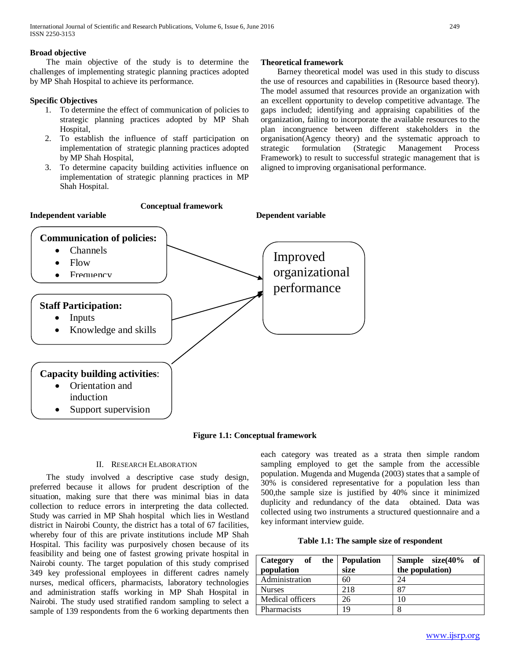# **Broad objective**

 The main objective of the study is to determine the challenges of implementing strategic planning practices adopted by MP Shah Hospital to achieve its performance.

# **Specific Objectives**

- 1. To determine the effect of communication of policies to strategic planning practices adopted by MP Shah Hospital,
- 2. To establish the influence of staff participation on implementation of strategic planning practices adopted by MP Shah Hospital,
- 3. To determine capacity building activities influence on implementation of strategic planning practices in MP Shah Hospital.

# **Theoretical framework**

 Barney theoretical model was used in this study to discuss the use of resources and capabilities in (Resource based theory). The model assumed that resources provide an organization with an excellent opportunity to develop competitive advantage. The gaps included; identifying and appraising capabilities of the organization, failing to incorporate the available resources to the plan incongruence between different stakeholders in the organisation(Agency theory) and the systematic approach to strategic formulation (Strategic Management Process Framework) to result to successful strategic management that is aligned to improving organisational performance.



# **Figure 1.1: Conceptual framework**

## II. RESEARCH ELABORATION

 The study involved a descriptive case study design, preferred because it allows for prudent description of the situation, making sure that there was minimal bias in data collection to reduce errors in interpreting the data collected. Study was carried in MP Shah hospital which lies in Westland district in Nairobi County, the district has a total of 67 facilities, whereby four of this are private institutions include MP Shah Hospital. This facility was purposively chosen because of its feasibility and being one of fastest growing private hospital in Nairobi county. The target population of this study comprised 349 key professional employees in different cadres namely nurses, medical officers, pharmacists, laboratory technologies and administration staffs working in MP Shah Hospital in Nairobi. The study used stratified random sampling to select a sample of 139 respondents from the 6 working departments then each category was treated as a strata then simple random sampling employed to get the sample from the accessible population. Mugenda and Mugenda (2003) states that a sample of 30% is considered representative for a population less than 500,the sample size is justified by 40% since it minimized duplicity and redundancy of the data obtained. Data was collected using two instruments a structured questionnaire and a key informant interview guide.

## **Table 1.1: The sample size of respondent**

| Category of the Population<br>population | size | of<br>Sample size(40%<br>the population) |
|------------------------------------------|------|------------------------------------------|
| Administration                           | 60   | 24                                       |
| <b>Nurses</b>                            | 218  | 87                                       |
| Medical officers                         | 26   | 10                                       |
| <b>Pharmacists</b>                       | 19   | 8                                        |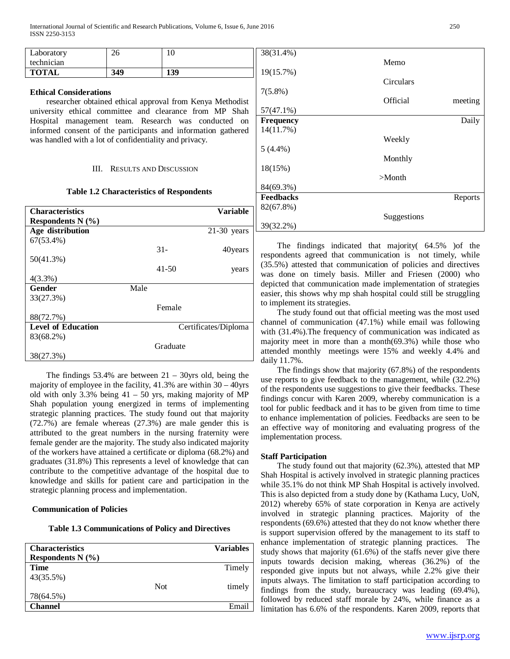| <b>TOTAL</b> | 349 | 139 | 1961  |
|--------------|-----|-----|-------|
| technician   |     |     |       |
| Laboratory   | 26  |     | 38(3) |

#### **Ethical Considerations**

 researcher obtained ethical approval from Kenya Methodist university ethical committee and clearance from MP Shah Hospital management team. Research was conducted on informed consent of the participants and information gathered was handled with a lot of confidentiality and privacy.

#### III. RESULTS AND DISCUSSION

#### **Table 1.2 Characteristics of Respondents**

| <b>Characteristics</b>    |      |           | <b>Variable</b>      |
|---------------------------|------|-----------|----------------------|
| Respondents $N(\%)$       |      |           |                      |
| Age distribution          |      |           | $21-30$ years        |
| $67(53.4\%)$              |      |           |                      |
|                           |      | $31-$     | 40years              |
| 50(41.3%)                 |      |           |                      |
|                           |      | $41 - 50$ | years                |
| $4(3.3\%)$                |      |           |                      |
| <b>Gender</b>             | Male |           |                      |
| 33(27.3%)                 |      |           |                      |
|                           |      | Female    |                      |
| 88(72.7%)                 |      |           |                      |
| <b>Level of Education</b> |      |           | Certificates/Diploma |
| 83(68.2%)                 |      |           |                      |
|                           |      | Graduate  |                      |
| 38(27.3%)                 |      |           |                      |

The findings  $53.4\%$  are between  $21 - 30$ yrs old, being the majority of employee in the facility, 41.3% are within 30 – 40yrs old with only 3.3% being  $41 - 50$  yrs, making majority of MP Shah population young energized in terms of implementing strategic planning practices. The study found out that majority (72.7%) are female whereas (27.3%) are male gender this is attributed to the great numbers in the nursing fraternity were female gender are the majority. The study also indicated majority of the workers have attained a certificate or diploma (68.2%) and graduates (31.8%) This represents a level of knowledge that can contribute to the competitive advantage of the hospital due to knowledge and skills for patient care and participation in the strategic planning process and implementation.

#### **Communication of Policies**

**Table 1.3 Communications of Policy and Directives**

| <b>Characteristics</b> |     | <b>Variables</b> |
|------------------------|-----|------------------|
| Respondents $N(\%)$    |     |                  |
| <b>Time</b>            |     | Timely           |
| 43(35.5%)              |     |                  |
|                        | Not | timely           |
| 78(64.5%)              |     |                  |
| <b>Channel</b>         |     | Email            |

| 38(31.4%)        | Memo        |         |
|------------------|-------------|---------|
| 19(15.7%)        |             |         |
|                  | Circulars   |         |
| $7(5.8\%)$       |             |         |
| $57(47.1\%)$     | Official    | meeting |
|                  |             |         |
| <b>Frequency</b> |             | Daily   |
| 14(11.7%)        |             |         |
|                  | Weekly      |         |
| $5(4.4\%)$       |             |         |
|                  | Monthly     |         |
| 18(15%)          |             |         |
|                  | $>$ Month   |         |
| 84(69.3%)        |             |         |
| <b>Feedbacks</b> |             | Reports |
| 82(67.8%)        |             |         |
|                  | Suggestions |         |
| 39(32.2%)        |             |         |

 The findings indicated that majority( 64.5% )of the respondents agreed that communication is not timely, while (35.5%) attested that communication of policies and directives was done on timely basis. Miller and Friesen (2000) who depicted that communication made implementation of strategies easier, this shows why mp shah hospital could still be struggling to implement its strategies.

 The study found out that official meeting was the most used channel of communication (47.1%) while email was following with  $(31.4\%)$ . The frequency of communication was indicated as majority meet in more than a month(69.3%) while those who attended monthly meetings were 15% and weekly 4.4% and daily 11.7%.

 The findings show that majority (67.8%) of the respondents use reports to give feedback to the management, while (32.2%) of the respondents use suggestions to give their feedbacks. These findings concur with Karen 2009, whereby communication is a tool for public feedback and it has to be given from time to time to enhance implementation of policies. Feedbacks are seen to be an effective way of monitoring and evaluating progress of the implementation process.

#### **Staff Participation**

 The study found out that majority (62.3%), attested that MP Shah Hospital is actively involved in strategic planning practices while 35.1% do not think MP Shah Hospital is actively involved. This is also depicted from a study done by (Kathama Lucy, UoN, 2012) whereby 65% of state corporation in Kenya are actively involved in strategic planning practices. Majority of the respondents (69.6%) attested that they do not know whether there is support supervision offered by the management to its staff to enhance implementation of strategic planning practices. The study shows that majority (61.6%) of the staffs never give there inputs towards decision making, whereas (36.2%) of the responded give inputs but not always, while 2.2% give their inputs always. The limitation to staff participation according to findings from the study, bureaucracy was leading (69.4%), followed by reduced staff morale by 24%, while finance as a limitation has 6.6% of the respondents. Karen 2009, reports that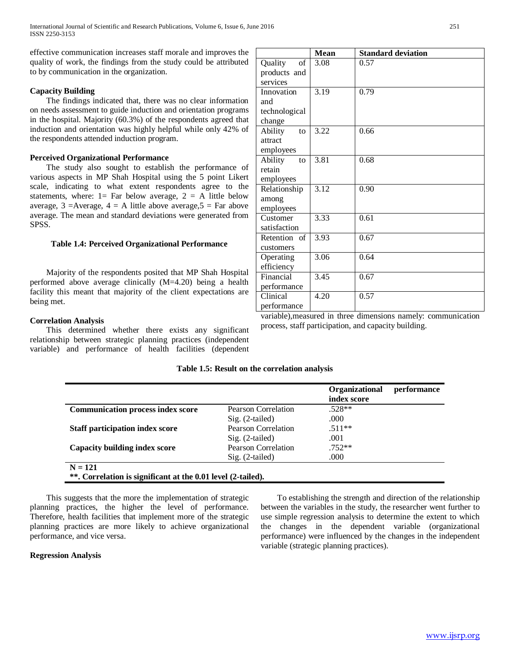effective communication increases staff morale and improves the quality of work, the findings from the study could be attributed to by communication in the organization.

# **Capacity Building**

 The findings indicated that, there was no clear information on needs assessment to guide induction and orientation programs in the hospital. Majority (60.3%) of the respondents agreed that induction and orientation was highly helpful while only 42% of the respondents attended induction program.

# **Perceived Organizational Performance**

 The study also sought to establish the performance of various aspects in MP Shah Hospital using the 5 point Likert scale, indicating to what extent respondents agree to the statements, where:  $1=$  Far below average,  $2 = A$  little below average,  $3 =$ Average,  $4 =$  A little above average,  $5 =$  Far above average. The mean and standard deviations were generated from SPSS.

# **Table 1.4: Perceived Organizational Performance**

 Majority of the respondents posited that MP Shah Hospital performed above average clinically (M=4.20) being a health facility this meant that majority of the client expectations are being met.

# **Correlation Analysis**

 This determined whether there exists any significant relationship between strategic planning practices (independent variable) and performance of health facilities (dependent

| <b>P =============</b>                               |  |                                                               |
|------------------------------------------------------|--|---------------------------------------------------------------|
|                                                      |  | variable), measured in three dimensions namely: communication |
| process, staff participation, and capacity building. |  |                                                               |

## **Table 1.5: Result on the correlation analysis**

|                                                              |                     | Organizational<br>index score | performance |
|--------------------------------------------------------------|---------------------|-------------------------------|-------------|
| <b>Communication process index score</b>                     | Pearson Correlation | $.528**$                      |             |
|                                                              | $Sig. (2-tailed)$   | .000                          |             |
| <b>Staff participation index score</b>                       | Pearson Correlation | $.511**$                      |             |
|                                                              | $Sig. (2-tailed)$   | .001                          |             |
| Capacity building index score                                | Pearson Correlation | $.752**$                      |             |
|                                                              | $Sig. (2-tailed)$   | .000                          |             |
| $N = 121$                                                    |                     |                               |             |
| **. Correlation is significant at the 0.01 level (2-tailed). |                     |                               |             |

 This suggests that the more the implementation of strategic planning practices, the higher the level of performance. Therefore, health facilities that implement more of the strategic planning practices are more likely to achieve organizational performance, and vice versa.

## **Regression Analysis**

 To establishing the strength and direction of the relationship between the variables in the study, the researcher went further to use simple regression analysis to determine the extent to which the changes in the dependent variable (organizational performance) were influenced by the changes in the independent variable (strategic planning practices).

| Financial   | 3.45 | 0.67                                                          |
|-------------|------|---------------------------------------------------------------|
| performance |      |                                                               |
| Clinical    | 4.20 | 0.57                                                          |
| performance |      |                                                               |
|             |      | variable), measured in three dimensions namely: communication |
|             |      | .                                                             |

**Mean Standard deviation**

3.08 0.57

3.19 0.79

3.22 0.66

3.81 0.68

3.12 0.90

3.33 0.61

3.93 0.67

3.06 0.64

Quality of products and services

Innovation and

technological change

Ability to attract employees

Ability to retain employees

Relationship among employees

Customer satisfaction

Operating efficiency

Retention of customers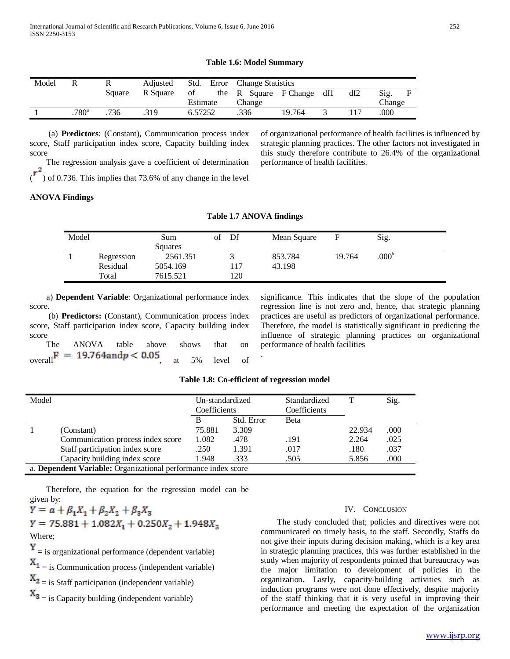#### **Table 1.6: Model Summary**

| Model |                     |        | Adjusted | Std.     |      | Error Change Statistics |                       |     |     |        |  |
|-------|---------------------|--------|----------|----------|------|-------------------------|-----------------------|-----|-----|--------|--|
|       |                     | Square | R Square | of       |      |                         | the R Square F Change | df1 | df2 | Sig.   |  |
|       |                     |        |          | Estimate |      | Change                  |                       |     |     | Change |  |
|       | $.780$ <sup>a</sup> | 736    | 319      | 6.57252  | .336 |                         | 19.764                |     |     | .000   |  |

 (a) **Predictors**: (Constant), Communication process index score, Staff participation index score, Capacity building index score

The regression analysis gave a coefficient of determination

 $\sigma$ ) of 0.736. This implies that 73.6% of any change in the level

of organizational performance of health facilities is influenced by strategic planning practices. The other factors not investigated in this study therefore contribute to 26.4% of the organizational performance of health facilities.

## **ANOVA Findings**

| Model |            | Sum<br>Squares | of | Df  | Mean Square |        | Sig.              |  |
|-------|------------|----------------|----|-----|-------------|--------|-------------------|--|
|       | Regression | 2561.351       |    |     | 853.784     | 19.764 | .000 <sup>b</sup> |  |
|       | Residual   | 5054.169       |    | 117 | 43.198      |        |                   |  |
|       | Total      | 7615.521       |    | 120 |             |        |                   |  |

 a) **Dependent Variable**: Organizational performance index score.

 (b) **Predictors:** (Constant), Communication process index score, Staff participation index score, Capacity building index score

 The ANOVA table above shows that on overall  $\mathbf{I}^* = \mathbf{I}$ .  $\mathbf{I}$ .  $\mathbf{I}$  at  $\mathbf{I}$  at  $\mathbf{I}$  5% level of significance. This indicates that the slope of the population regression line is not zero and, hence, that strategic planning practices are useful as predictors of organizational performance. Therefore, the model is statistically significant in predicting the influence of strategic planning practices on organizational performance of health facilities

#### **Table 1.8: Co-efficient of regression model**

.

| Model |                                                               | Un-standardized<br>Coefficients |            | Standardized<br>Coefficients |        | Sig. |
|-------|---------------------------------------------------------------|---------------------------------|------------|------------------------------|--------|------|
|       |                                                               | B                               | Std. Error | Beta                         |        |      |
|       | (Constant)                                                    | 75.881                          | 3.309      |                              | 22.934 | .000 |
|       | Communication process index score                             | 1.082                           | .478       | .191                         | 2.264  | .025 |
|       | Staff participation index score                               | .250                            | 1.391      | .017                         | .180   | .037 |
|       | Capacity building index score                                 | 1.948                           | .333       | .505                         | 5.856  | .000 |
|       | a. Dependent Variable: Organizational performance index score |                                 |            |                              |        |      |

 Therefore, the equation for the regression model can be given by:

 $Y = \alpha + \beta_1 X_1 + \beta_2 X_2 + \beta_3 X_3$  $Y = 75.881 + 1.082X_1 + 0.250X_2 + 1.948X_3$ Where;  $Y =$  is organizational performance (dependent variable)  $X_1$  = is Communication process (independent variable)  $X_2$  = is Staff participation (independent variable)

 $\mathbf{X}_3$  = is Capacity building (independent variable)

#### IV. CONCLUSION

 The study concluded that; policies and directives were not communicated on timely basis, to the staff. Secondly, Staffs do not give their inputs during decision making, which is a key area in strategic planning practices, this was further established in the study when majority of respondents pointed that bureaucracy was the major limitation to development of policies in the organization. Lastly, capacity-building activities such as induction programs were not done effectively, despite majority of the staff thinking that it is very useful in improving their performance and meeting the expectation of the organization